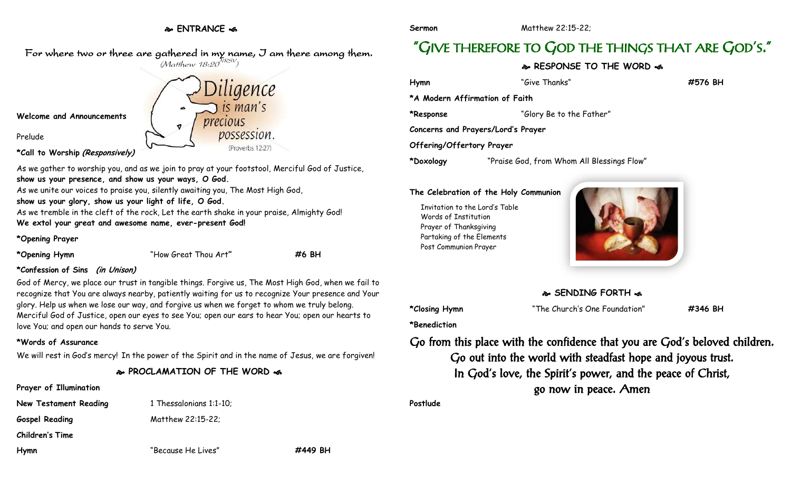### **ENTRANCE**



Prelude

**\*Call to Worship (Responsively)**

As we gather to worship you, and as we join to pray at your footstool, Merciful God of Justice, **show us your presence, and show us your ways, O God.**

As we unite our voices to praise you, silently awaiting you, The Most High God,

**show us your glory, show us your light of life, O God.**

As we tremble in the cleft of the rock, Let the earth shake in your praise, Almighty God! **We extol your great and awesome name, ever-present God!**

### **\*Opening Prayer**

**\*Opening Hymn** "How Great Thou Art**" #6 BH**

### **\*Confession of Sins (in Unison)**

God of Mercy, we place our trust in tangible things. Forgive us, The Most High God, when we fail to recognize that You are always nearby, patiently waiting for us to recognize Your presence and Your glory. Help us when we lose our way, and forgive us when we forget to whom we truly belong. Merciful God of Justice, open our eyes to see You; open our ears to hear You; open our hearts to love You; and open our hands to serve You.

### **\*Words of Assurance**

We will rest in God's mercy! In the power of the Spirit and in the name of Jesus, we are forgiven!

**PROCLAMATION OF THE WORD** 

### **Prayer of Illumination**

**New Testament Reading 1 Thessalonians 1:1-10; Gospel Reading** Matthew 22:15-22; **Children's Time**

**Hymn** "Because He Lives" **#449 BH**

**Sermon** Matthew 22:15-22:

# "GIVE THEREFORE TO GOD THE THINGS THAT ARE GOD'S."

## **RESPONSE TO THE WORD**

| Hymn                               | "Give Thanks"                              | #576 BH |
|------------------------------------|--------------------------------------------|---------|
| *A Modern Affirmation of Faith     |                                            |         |
| *Response                          | "Glory Be to the Father"                   |         |
| Concerns and Prayers/Lord's Prayer |                                            |         |
| Offering/Offertory Prayer          |                                            |         |
| *Doxology                          | "Praise God, from Whom All Blessings Flow" |         |

### **The Celebration of the Holy Communion**

Invitation to the Lord's Table Words of Institution Prayer of Thanksgiving Partaking of the Elements Post Communion Prayer



## **SENDING FORTH**

**\*Closing Hymn** "The Church's One Foundation" **#346 BH**

**\*Benediction**

Go from this place with the confidence that you are God's beloved children. Go out into the world with steadfast hope and joyous trust. In God's love, the Spirit's power, and the peace of Christ, go now in peace. Amen

**Postlude**